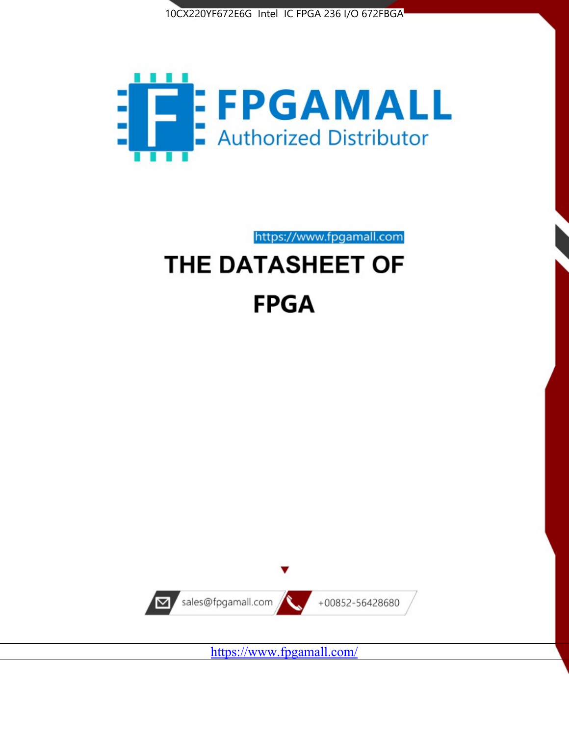



https://www.fpgamall.com

# THE DATASHEET OF **FPGA**



<https://www.fpgamall.com/>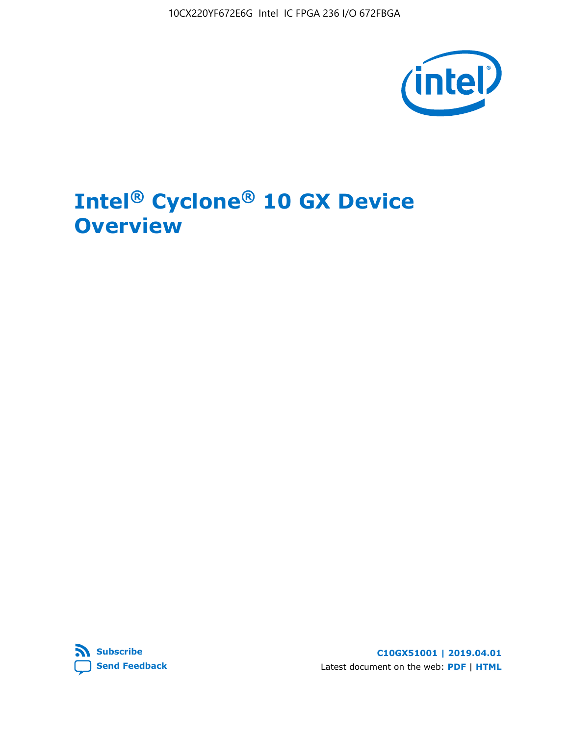10CX220YF672E6G Intel IC FPGA 236 I/O 672FBGA



# **Intel® Cyclone® 10 GX Device Overview**



**C10GX51001 | 2019.04.01** Latest document on the web: **[PDF](https://www.intel.com/content/dam/www/programmable/us/en/pdfs/literature/hb/cyclone-10/c10gx-51001.pdf)** | **[HTML](https://www.intel.com/content/www/us/en/programmable/documentation/grc1488182989852.html)**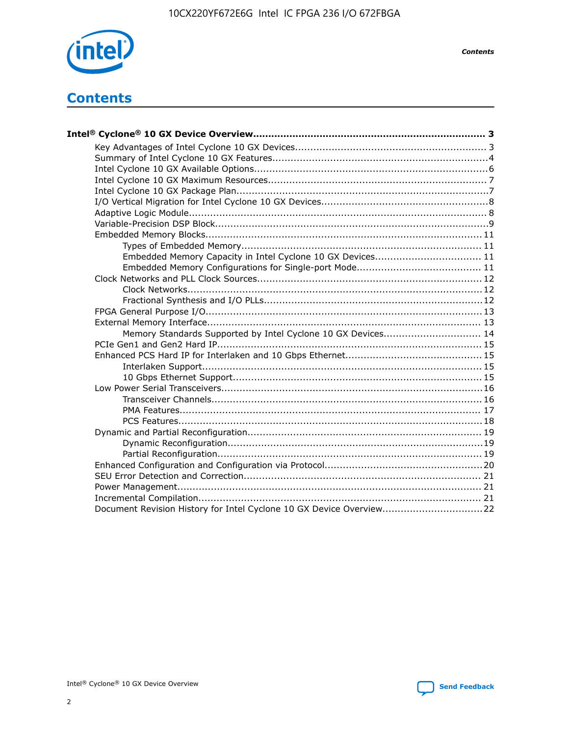

*Contents*

# **Contents**

| Embedded Memory Capacity in Intel Cyclone 10 GX Devices 11          |  |
|---------------------------------------------------------------------|--|
|                                                                     |  |
|                                                                     |  |
|                                                                     |  |
|                                                                     |  |
|                                                                     |  |
|                                                                     |  |
| Memory Standards Supported by Intel Cyclone 10 GX Devices 14        |  |
|                                                                     |  |
|                                                                     |  |
|                                                                     |  |
|                                                                     |  |
|                                                                     |  |
|                                                                     |  |
|                                                                     |  |
|                                                                     |  |
|                                                                     |  |
|                                                                     |  |
|                                                                     |  |
|                                                                     |  |
|                                                                     |  |
|                                                                     |  |
|                                                                     |  |
| Document Revision History for Intel Cyclone 10 GX Device Overview22 |  |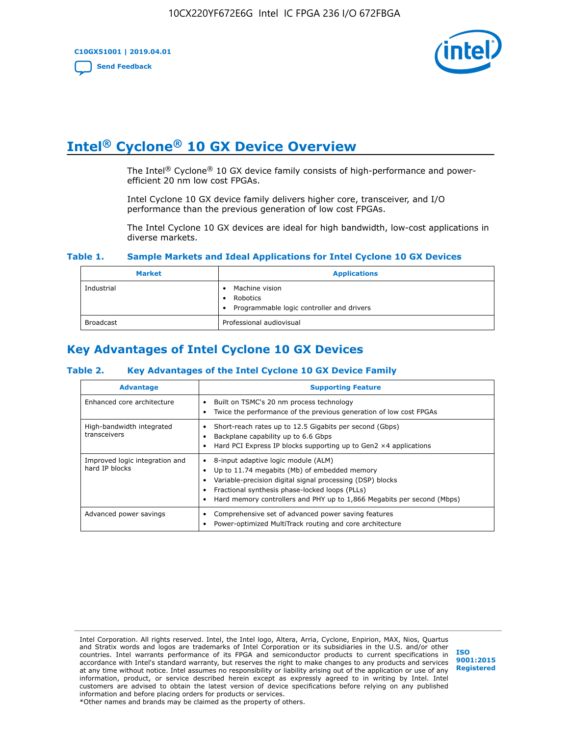

# **Intel® Cyclone® 10 GX Device Overview**

The Intel<sup>®</sup> Cyclone<sup>®</sup> 10 GX device family consists of high-performance and powerefficient 20 nm low cost FPGAs.

Intel Cyclone 10 GX device family delivers higher core, transceiver, and I/O performance than the previous generation of low cost FPGAs.

The Intel Cyclone 10 GX devices are ideal for high bandwidth, low-cost applications in diverse markets.

#### **Table 1. Sample Markets and Ideal Applications for Intel Cyclone 10 GX Devices**

| <b>Market</b>    | <b>Applications</b>                                                       |
|------------------|---------------------------------------------------------------------------|
| Industrial       | Machine vision<br>Robotics<br>• Programmable logic controller and drivers |
| <b>Broadcast</b> | Professional audiovisual                                                  |

# **Key Advantages of Intel Cyclone 10 GX Devices**

#### **Table 2. Key Advantages of the Intel Cyclone 10 GX Device Family**

| <b>Advantage</b>                                 | <b>Supporting Feature</b>                                                                                                                                                                                                                                                              |
|--------------------------------------------------|----------------------------------------------------------------------------------------------------------------------------------------------------------------------------------------------------------------------------------------------------------------------------------------|
| Enhanced core architecture                       | Built on TSMC's 20 nm process technology<br>٠<br>Twice the performance of the previous generation of low cost FPGAs<br>٠                                                                                                                                                               |
| High-bandwidth integrated<br>transceivers        | Short-reach rates up to 12.5 Gigabits per second (Gbps)<br>Backplane capability up to 6.6 Gbps<br>Hard PCI Express IP blocks supporting up to Gen2 $\times$ 4 applications                                                                                                             |
| Improved logic integration and<br>hard IP blocks | 8-input adaptive logic module (ALM)<br>٠<br>Up to 11.74 megabits (Mb) of embedded memory<br>٠<br>Variable-precision digital signal processing (DSP) blocks<br>Fractional synthesis phase-locked loops (PLLs)<br>Hard memory controllers and PHY up to 1,866 Megabits per second (Mbps) |
| Advanced power savings                           | Comprehensive set of advanced power saving features<br>٠<br>Power-optimized MultiTrack routing and core architecture                                                                                                                                                                   |

Intel Corporation. All rights reserved. Intel, the Intel logo, Altera, Arria, Cyclone, Enpirion, MAX, Nios, Quartus and Stratix words and logos are trademarks of Intel Corporation or its subsidiaries in the U.S. and/or other countries. Intel warrants performance of its FPGA and semiconductor products to current specifications in accordance with Intel's standard warranty, but reserves the right to make changes to any products and services at any time without notice. Intel assumes no responsibility or liability arising out of the application or use of any information, product, or service described herein except as expressly agreed to in writing by Intel. Intel customers are advised to obtain the latest version of device specifications before relying on any published information and before placing orders for products or services. \*Other names and brands may be claimed as the property of others.

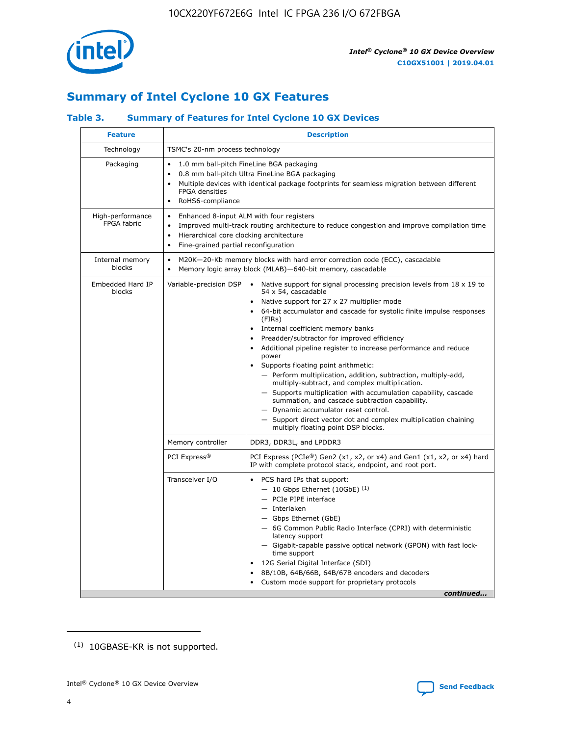

# **Summary of Intel Cyclone 10 GX Features**

#### **Table 3. Summary of Features for Intel Cyclone 10 GX Devices**

| TSMC's 20-nm process technology<br>$\bullet$<br><b>FPGA</b> densities<br>RoHS6-compliance<br>$\bullet$<br>Enhanced 8-input ALM with four registers<br>$\bullet$<br>Hierarchical core clocking architecture<br>$\bullet$<br>Fine-grained partial reconfiguration<br>$\bullet$ | 1.0 mm ball-pitch FineLine BGA packaging<br>0.8 mm ball-pitch Ultra FineLine BGA packaging<br>Multiple devices with identical package footprints for seamless migration between different<br>Improved multi-track routing architecture to reduce congestion and improve compilation time                                                                                                                                                                                                                                                                                                                                                                                                                                                                                                                                       |
|------------------------------------------------------------------------------------------------------------------------------------------------------------------------------------------------------------------------------------------------------------------------------|--------------------------------------------------------------------------------------------------------------------------------------------------------------------------------------------------------------------------------------------------------------------------------------------------------------------------------------------------------------------------------------------------------------------------------------------------------------------------------------------------------------------------------------------------------------------------------------------------------------------------------------------------------------------------------------------------------------------------------------------------------------------------------------------------------------------------------|
|                                                                                                                                                                                                                                                                              |                                                                                                                                                                                                                                                                                                                                                                                                                                                                                                                                                                                                                                                                                                                                                                                                                                |
|                                                                                                                                                                                                                                                                              |                                                                                                                                                                                                                                                                                                                                                                                                                                                                                                                                                                                                                                                                                                                                                                                                                                |
|                                                                                                                                                                                                                                                                              |                                                                                                                                                                                                                                                                                                                                                                                                                                                                                                                                                                                                                                                                                                                                                                                                                                |
| $\bullet$                                                                                                                                                                                                                                                                    | M20K-20-Kb memory blocks with hard error correction code (ECC), cascadable<br>Memory logic array block (MLAB)-640-bit memory, cascadable                                                                                                                                                                                                                                                                                                                                                                                                                                                                                                                                                                                                                                                                                       |
| Variable-precision DSP                                                                                                                                                                                                                                                       | Native support for signal processing precision levels from 18 x 19 to<br>54 x 54, cascadable<br>Native support for 27 x 27 multiplier mode<br>64-bit accumulator and cascade for systolic finite impulse responses<br>(FIRs)<br>Internal coefficient memory banks<br>Preadder/subtractor for improved efficiency<br>Additional pipeline register to increase performance and reduce<br>power<br>Supports floating point arithmetic:<br>- Perform multiplication, addition, subtraction, multiply-add,<br>multiply-subtract, and complex multiplication.<br>- Supports multiplication with accumulation capability, cascade<br>summation, and cascade subtraction capability.<br>- Dynamic accumulator reset control.<br>- Support direct vector dot and complex multiplication chaining<br>multiply floating point DSP blocks. |
| Memory controller                                                                                                                                                                                                                                                            | DDR3, DDR3L, and LPDDR3                                                                                                                                                                                                                                                                                                                                                                                                                                                                                                                                                                                                                                                                                                                                                                                                        |
| PCI Express <sup>®</sup>                                                                                                                                                                                                                                                     | PCI Express (PCIe®) Gen2 (x1, x2, or x4) and Gen1 (x1, x2, or x4) hard<br>IP with complete protocol stack, endpoint, and root port.                                                                                                                                                                                                                                                                                                                                                                                                                                                                                                                                                                                                                                                                                            |
| Transceiver I/O                                                                                                                                                                                                                                                              | PCS hard IPs that support:<br>$-10$ Gbps Ethernet (10GbE) <sup>(1)</sup><br>- PCIe PIPE interface<br>- Interlaken<br>- Gbps Ethernet (GbE)<br>- 6G Common Public Radio Interface (CPRI) with deterministic<br>latency support<br>- Gigabit-capable passive optical network (GPON) with fast lock-<br>time support<br>12G Serial Digital Interface (SDI)<br>8B/10B, 64B/66B, 64B/67B encoders and decoders<br>Custom mode support for proprietary protocols                                                                                                                                                                                                                                                                                                                                                                     |
|                                                                                                                                                                                                                                                                              | $\bullet$                                                                                                                                                                                                                                                                                                                                                                                                                                                                                                                                                                                                                                                                                                                                                                                                                      |

(1) 10GBASE-KR is not supported.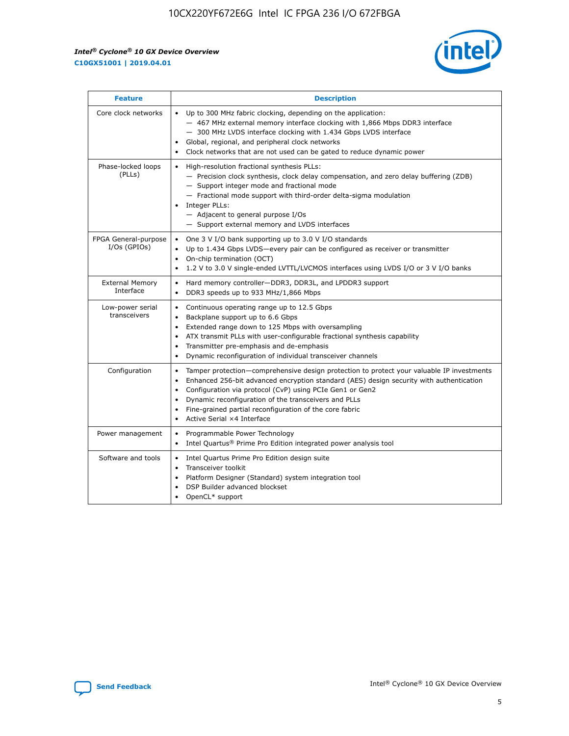

| <b>Feature</b>                         | <b>Description</b>                                                                                                                                                                                                                                                                                                                                                                                                                                                 |
|----------------------------------------|--------------------------------------------------------------------------------------------------------------------------------------------------------------------------------------------------------------------------------------------------------------------------------------------------------------------------------------------------------------------------------------------------------------------------------------------------------------------|
| Core clock networks                    | • Up to 300 MHz fabric clocking, depending on the application:<br>- 467 MHz external memory interface clocking with 1,866 Mbps DDR3 interface<br>- 300 MHz LVDS interface clocking with 1.434 Gbps LVDS interface<br>Global, regional, and peripheral clock networks<br>Clock networks that are not used can be gated to reduce dynamic power                                                                                                                      |
| Phase-locked loops<br>(PLLs)           | High-resolution fractional synthesis PLLs:<br>$\bullet$<br>- Precision clock synthesis, clock delay compensation, and zero delay buffering (ZDB)<br>- Support integer mode and fractional mode<br>- Fractional mode support with third-order delta-sigma modulation<br>Integer PLLs:<br>- Adjacent to general purpose I/Os<br>- Support external memory and LVDS interfaces                                                                                        |
| FPGA General-purpose<br>$I/Os$ (GPIOs) | One 3 V I/O bank supporting up to 3.0 V I/O standards<br>$\bullet$<br>Up to 1.434 Gbps LVDS-every pair can be configured as receiver or transmitter<br>$\bullet$<br>On-chip termination (OCT)<br>$\bullet$<br>1.2 V to 3.0 V single-ended LVTTL/LVCMOS interfaces using LVDS I/O or 3 V I/O banks                                                                                                                                                                  |
| <b>External Memory</b><br>Interface    | Hard memory controller-DDR3, DDR3L, and LPDDR3 support<br>$\bullet$<br>DDR3 speeds up to 933 MHz/1,866 Mbps<br>$\bullet$                                                                                                                                                                                                                                                                                                                                           |
| Low-power serial<br>transceivers       | Continuous operating range up to 12.5 Gbps<br>$\bullet$<br>Backplane support up to 6.6 Gbps<br>$\bullet$<br>Extended range down to 125 Mbps with oversampling<br>$\bullet$<br>ATX transmit PLLs with user-configurable fractional synthesis capability<br>$\bullet$<br>Transmitter pre-emphasis and de-emphasis<br>$\bullet$<br>Dynamic reconfiguration of individual transceiver channels<br>$\bullet$                                                            |
| Configuration                          | Tamper protection—comprehensive design protection to protect your valuable IP investments<br>$\bullet$<br>Enhanced 256-bit advanced encryption standard (AES) design security with authentication<br>$\bullet$<br>Configuration via protocol (CvP) using PCIe Gen1 or Gen2<br>$\bullet$<br>Dynamic reconfiguration of the transceivers and PLLs<br>$\bullet$<br>Fine-grained partial reconfiguration of the core fabric<br>Active Serial ×4 Interface<br>$\bullet$ |
| Power management                       | Programmable Power Technology<br>$\bullet$<br>Intel Quartus® Prime Pro Edition integrated power analysis tool<br>$\bullet$                                                                                                                                                                                                                                                                                                                                         |
| Software and tools                     | Intel Quartus Prime Pro Edition design suite<br>$\bullet$<br>Transceiver toolkit<br>$\bullet$<br>Platform Designer (Standard) system integration tool<br>DSP Builder advanced blockset<br>OpenCL* support                                                                                                                                                                                                                                                          |

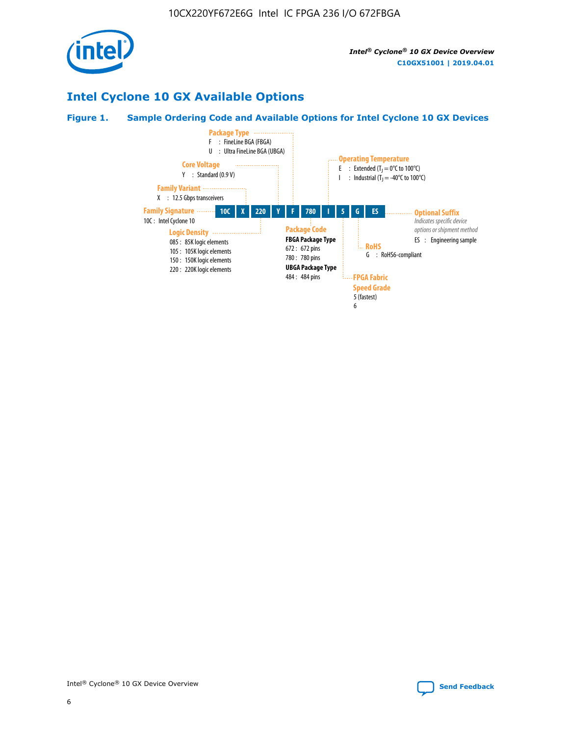

# **Intel Cyclone 10 GX Available Options**

#### **Figure 1. Sample Ordering Code and Available Options for Intel Cyclone 10 GX Devices**

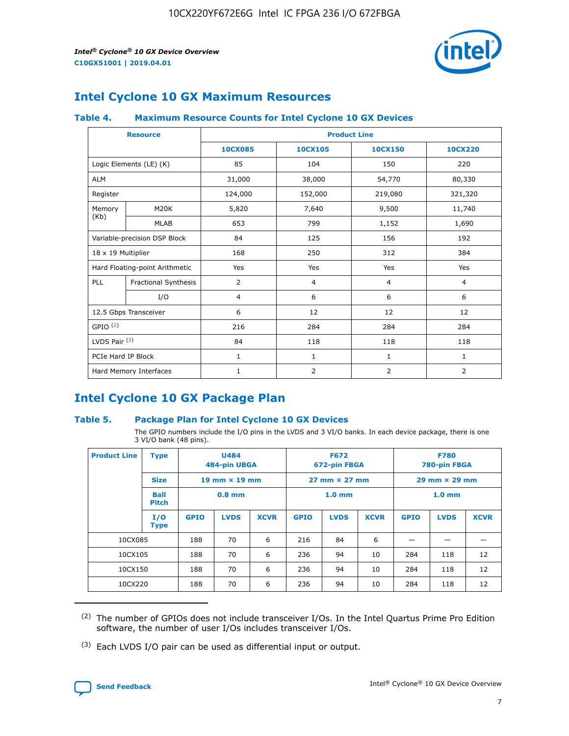

# **Intel Cyclone 10 GX Maximum Resources**

#### **Table 4. Maximum Resource Counts for Intel Cyclone 10 GX Devices**

|                     | <b>Resource</b>                | <b>Product Line</b> |                |                |                |  |
|---------------------|--------------------------------|---------------------|----------------|----------------|----------------|--|
|                     |                                | <b>10CX085</b>      | 10CX105        | 10CX150        | 10CX220        |  |
|                     | Logic Elements (LE) (K)        | 85                  | 104            | 150            | 220            |  |
| <b>ALM</b>          |                                | 31,000              | 38,000         | 54,770         | 80,330         |  |
| Register            |                                | 124,000             | 152,000        | 219,080        | 321,320        |  |
| Memory              | M20K                           | 5,820               | 7,640          | 9,500          | 11,740         |  |
| (Kb)                | <b>MLAB</b>                    | 653                 | 799            | 1,152          | 1,690          |  |
|                     | Variable-precision DSP Block   | 84                  | 125            | 156            | 192            |  |
| 18 x 19 Multiplier  |                                | 168                 | 250            | 312            | 384            |  |
|                     | Hard Floating-point Arithmetic | Yes                 | Yes            | Yes            | Yes            |  |
| PLL                 | Fractional Synthesis           | $\overline{2}$      | $\overline{4}$ | 4              | $\overline{4}$ |  |
|                     | I/O                            | $\overline{4}$      | 6              | 6              | 6              |  |
|                     | 12.5 Gbps Transceiver          | 6                   | 12             | 12             | 12             |  |
| GPIO <sup>(2)</sup> |                                | 216                 | 284            | 284            | 284            |  |
| LVDS Pair $(3)$     |                                | 84                  | 118            | 118            | 118            |  |
| PCIe Hard IP Block  |                                | $\mathbf{1}$        | $\mathbf{1}$   | $\mathbf{1}$   | $\mathbf{1}$   |  |
|                     | Hard Memory Interfaces         | $\mathbf{1}$        | $\overline{2}$ | $\overline{2}$ | 2              |  |

# **Intel Cyclone 10 GX Package Plan**

#### **Table 5. Package Plan for Intel Cyclone 10 GX Devices**

The GPIO numbers include the I/O pins in the LVDS and 3 VI/O banks. In each device package, there is one 3 VI/O bank (48 pins).

| <b>Product Line</b>                 | <b>Type</b>        | <b>U484</b><br>484-pin UBGA          |                   | <b>F672</b><br>672-pin FBGA |                   | <b>F780</b><br>780-pin FBGA |             |             |             |             |
|-------------------------------------|--------------------|--------------------------------------|-------------------|-----------------------------|-------------------|-----------------------------|-------------|-------------|-------------|-------------|
| <b>Size</b><br>19 mm $\times$ 19 mm |                    | $27 \text{ mm} \times 27 \text{ mm}$ |                   | $29$ mm $\times$ 29 mm      |                   |                             |             |             |             |             |
| Ball<br>$0.8$ mm<br><b>Pitch</b>    |                    |                                      | 1.0 <sub>mm</sub> |                             | 1.0 <sub>mm</sub> |                             |             |             |             |             |
|                                     | I/O<br><b>Type</b> | <b>GPIO</b>                          | <b>LVDS</b>       | <b>XCVR</b>                 | <b>GPIO</b>       | <b>LVDS</b>                 | <b>XCVR</b> | <b>GPIO</b> | <b>LVDS</b> | <b>XCVR</b> |
| 10CX085                             |                    | 188                                  | 70                | 6                           | 216               | 84                          | 6           |             |             |             |
| 10CX105                             |                    | 188                                  | 70                | 6                           | 236               | 94                          | 10          | 284         | 118         | 12          |
| 10CX150                             |                    | 188                                  | 70                | 6                           | 236               | 94                          | 10          | 284         | 118         | 12          |
| 10CX220                             |                    | 188                                  | 70                | 6                           | 236               | 94                          | 10          | 284         | 118         | 12          |

<sup>(2)</sup> The number of GPIOs does not include transceiver I/Os. In the Intel Quartus Prime Pro Edition software, the number of user I/Os includes transceiver I/Os.

<sup>(3)</sup> Each LVDS I/O pair can be used as differential input or output.

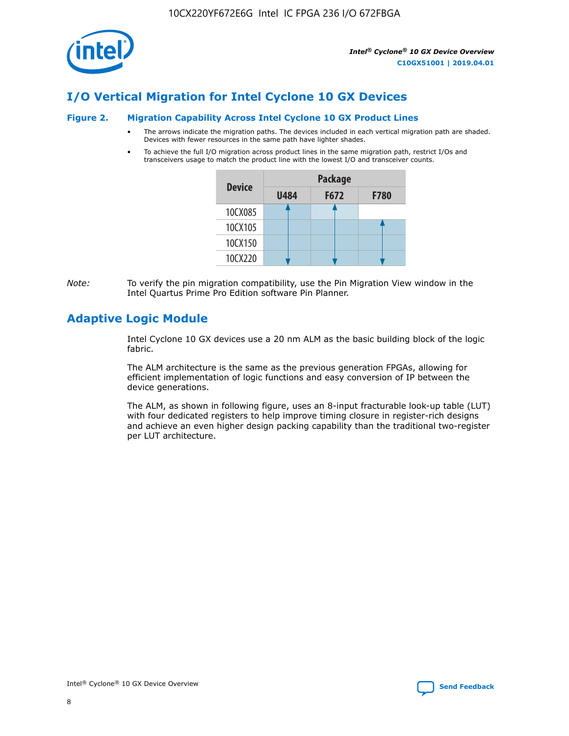

# **I/O Vertical Migration for Intel Cyclone 10 GX Devices**

#### **Figure 2. Migration Capability Across Intel Cyclone 10 GX Product Lines**

- The arrows indicate the migration paths. The devices included in each vertical migration path are shaded. Devices with fewer resources in the same path have lighter shades.
- To achieve the full I/O migration across product lines in the same migration path, restrict I/Os and transceivers usage to match the product line with the lowest I/O and transceiver counts.

| <b>Device</b> | <b>Package</b> |      |             |  |  |
|---------------|----------------|------|-------------|--|--|
|               | <b>U484</b>    | F672 | <b>F780</b> |  |  |
| 10CX085       |                |      |             |  |  |
| 10CX105       |                |      |             |  |  |
| 10CX150       |                |      |             |  |  |
| 10CX220       |                |      |             |  |  |

*Note:* To verify the pin migration compatibility, use the Pin Migration View window in the Intel Quartus Prime Pro Edition software Pin Planner.

## **Adaptive Logic Module**

Intel Cyclone 10 GX devices use a 20 nm ALM as the basic building block of the logic fabric.

The ALM architecture is the same as the previous generation FPGAs, allowing for efficient implementation of logic functions and easy conversion of IP between the device generations.

The ALM, as shown in following figure, uses an 8-input fracturable look-up table (LUT) with four dedicated registers to help improve timing closure in register-rich designs and achieve an even higher design packing capability than the traditional two-register per LUT architecture.

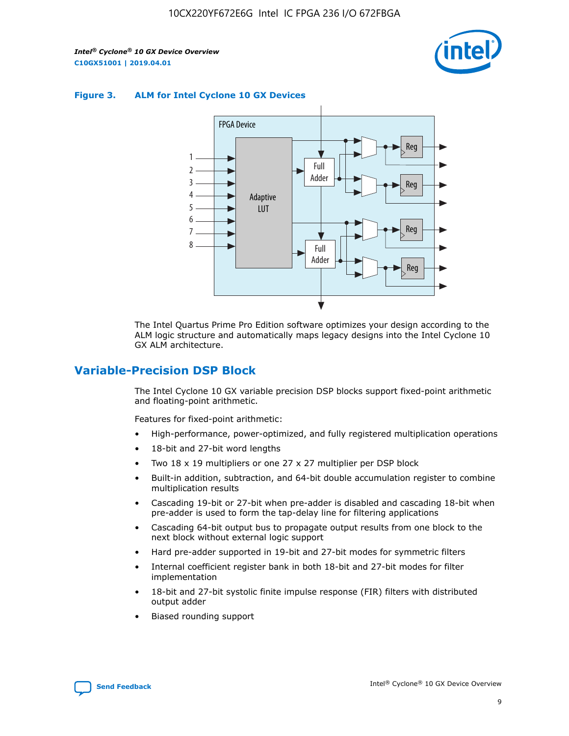

#### **Figure 3. ALM for Intel Cyclone 10 GX Devices**



The Intel Quartus Prime Pro Edition software optimizes your design according to the ALM logic structure and automatically maps legacy designs into the Intel Cyclone 10 GX ALM architecture.

#### **Variable-Precision DSP Block**

The Intel Cyclone 10 GX variable precision DSP blocks support fixed-point arithmetic and floating-point arithmetic.

Features for fixed-point arithmetic:

- High-performance, power-optimized, and fully registered multiplication operations
- 18-bit and 27-bit word lengths
- Two 18 x 19 multipliers or one 27 x 27 multiplier per DSP block
- Built-in addition, subtraction, and 64-bit double accumulation register to combine multiplication results
- Cascading 19-bit or 27-bit when pre-adder is disabled and cascading 18-bit when pre-adder is used to form the tap-delay line for filtering applications
- Cascading 64-bit output bus to propagate output results from one block to the next block without external logic support
- Hard pre-adder supported in 19-bit and 27-bit modes for symmetric filters
- Internal coefficient register bank in both 18-bit and 27-bit modes for filter implementation
- 18-bit and 27-bit systolic finite impulse response (FIR) filters with distributed output adder
- Biased rounding support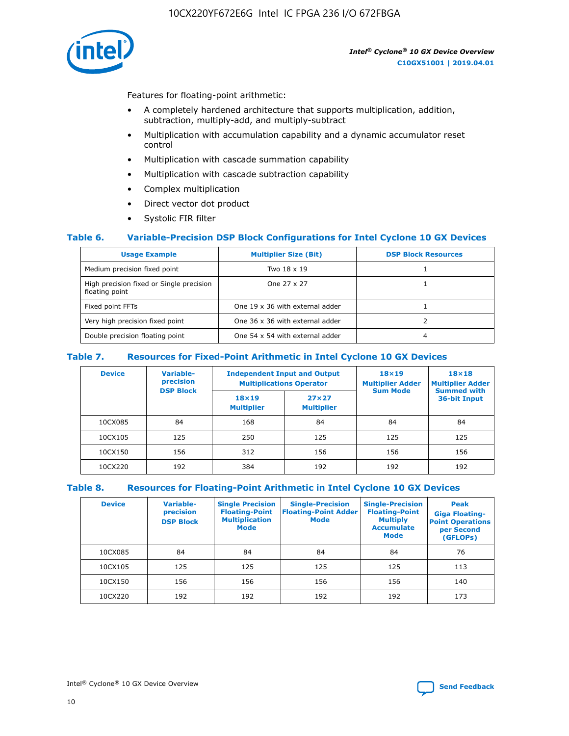10CX220YF672E6G Intel IC FPGA 236 I/O 672FBGA



Features for floating-point arithmetic:

- A completely hardened architecture that supports multiplication, addition, subtraction, multiply-add, and multiply-subtract
- Multiplication with accumulation capability and a dynamic accumulator reset control
- Multiplication with cascade summation capability
- Multiplication with cascade subtraction capability
- Complex multiplication
- Direct vector dot product
- Systolic FIR filter

#### **Table 6. Variable-Precision DSP Block Configurations for Intel Cyclone 10 GX Devices**

| <b>Usage Example</b>                                       | <b>Multiplier Size (Bit)</b>    | <b>DSP Block Resources</b> |
|------------------------------------------------------------|---------------------------------|----------------------------|
| Medium precision fixed point                               | Two 18 x 19                     |                            |
| High precision fixed or Single precision<br>floating point | One 27 x 27                     |                            |
| Fixed point FFTs                                           | One 19 x 36 with external adder |                            |
| Very high precision fixed point                            | One 36 x 36 with external adder |                            |
| Double precision floating point                            | One 54 x 54 with external adder | 4                          |

#### **Table 7. Resources for Fixed-Point Arithmetic in Intel Cyclone 10 GX Devices**

| <b>Device</b> | Variable-<br>precision<br><b>DSP Block</b> |                                   | <b>Independent Input and Output</b><br><b>Multiplications Operator</b> | $18\times19$<br><b>Multiplier Adder</b><br><b>Sum Mode</b> | 18×18<br><b>Multiplier Adder</b><br><b>Summed with</b> |  |
|---------------|--------------------------------------------|-----------------------------------|------------------------------------------------------------------------|------------------------------------------------------------|--------------------------------------------------------|--|
|               |                                            | $18\times19$<br><b>Multiplier</b> | $27\times27$<br><b>Multiplier</b>                                      |                                                            | 36-bit Input                                           |  |
| 10CX085       | 84                                         | 168                               | 84                                                                     | 84                                                         | 84                                                     |  |
| 10CX105       | 125                                        | 250                               | 125                                                                    | 125                                                        | 125                                                    |  |
| 10CX150       | 156                                        | 312                               | 156                                                                    | 156                                                        | 156                                                    |  |
| 10CX220       | 192                                        | 384                               | 192                                                                    | 192                                                        | 192                                                    |  |

#### **Table 8. Resources for Floating-Point Arithmetic in Intel Cyclone 10 GX Devices**

| <b>Device</b> | Variable-<br>precision<br><b>DSP Block</b> | <b>Single Precision</b><br><b>Floating-Point</b><br><b>Multiplication</b><br><b>Mode</b> | <b>Single-Precision</b><br><b>Floating-Point Adder</b><br><b>Mode</b> | <b>Single-Precision</b><br><b>Floating-Point</b><br><b>Multiply</b><br><b>Accumulate</b><br><b>Mode</b> | Peak<br><b>Giga Floating-</b><br><b>Point Operations</b><br>per Second<br>(GFLOPs) |
|---------------|--------------------------------------------|------------------------------------------------------------------------------------------|-----------------------------------------------------------------------|---------------------------------------------------------------------------------------------------------|------------------------------------------------------------------------------------|
| 10CX085       | 84                                         | 84                                                                                       | 84                                                                    | 84                                                                                                      | 76                                                                                 |
| 10CX105       | 125                                        | 125                                                                                      | 125                                                                   | 125                                                                                                     | 113                                                                                |
| 10CX150       | 156                                        | 156                                                                                      | 156                                                                   | 156                                                                                                     | 140                                                                                |
| 10CX220       | 192                                        | 192                                                                                      | 192                                                                   | 192                                                                                                     | 173                                                                                |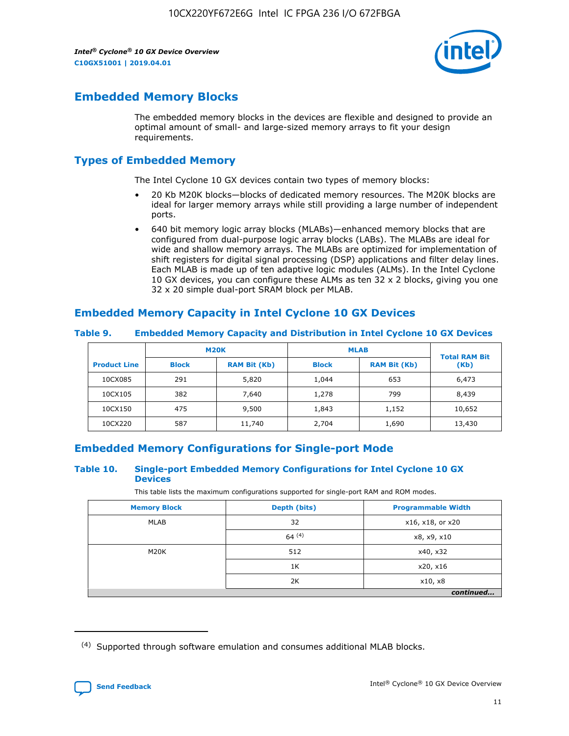

# **Embedded Memory Blocks**

The embedded memory blocks in the devices are flexible and designed to provide an optimal amount of small- and large-sized memory arrays to fit your design requirements.

## **Types of Embedded Memory**

The Intel Cyclone 10 GX devices contain two types of memory blocks:

- 20 Kb M20K blocks—blocks of dedicated memory resources. The M20K blocks are ideal for larger memory arrays while still providing a large number of independent ports.
- 640 bit memory logic array blocks (MLABs)—enhanced memory blocks that are configured from dual-purpose logic array blocks (LABs). The MLABs are ideal for wide and shallow memory arrays. The MLABs are optimized for implementation of shift registers for digital signal processing (DSP) applications and filter delay lines. Each MLAB is made up of ten adaptive logic modules (ALMs). In the Intel Cyclone 10 GX devices, you can configure these ALMs as ten 32 x 2 blocks, giving you one 32 x 20 simple dual-port SRAM block per MLAB.

## **Embedded Memory Capacity in Intel Cyclone 10 GX Devices**

|                     | <b>M20K</b><br><b>RAM Bit (Kb)</b><br><b>Block</b> |        | <b>MLAB</b>  | <b>Total RAM Bit</b> |        |
|---------------------|----------------------------------------------------|--------|--------------|----------------------|--------|
| <b>Product Line</b> |                                                    |        | <b>Block</b> | <b>RAM Bit (Kb)</b>  | (Kb)   |
| 10CX085             | 291                                                | 5,820  | 1,044        | 653                  | 6,473  |
| 10CX105             | 382                                                | 7,640  | 1,278        | 799                  | 8,439  |
| 10CX150             | 475                                                | 9,500  | 1,843        | 1,152                | 10,652 |
| 10CX220             | 587                                                | 11,740 | 2,704        | 1,690                | 13,430 |

#### **Table 9. Embedded Memory Capacity and Distribution in Intel Cyclone 10 GX Devices**

## **Embedded Memory Configurations for Single-port Mode**

#### **Table 10. Single-port Embedded Memory Configurations for Intel Cyclone 10 GX Devices**

This table lists the maximum configurations supported for single-port RAM and ROM modes.

| <b>Memory Block</b> | Depth (bits) | <b>Programmable Width</b> |  |
|---------------------|--------------|---------------------------|--|
| MLAB                | 32           | x16, x18, or x20          |  |
|                     | 64(4)        | x8, x9, x10               |  |
| M20K                | 512          | x40, x32                  |  |
|                     | 1K           | x20, x16                  |  |
|                     | 2K           | x10, x8                   |  |
|                     |              | continued                 |  |

<sup>(4)</sup> Supported through software emulation and consumes additional MLAB blocks.

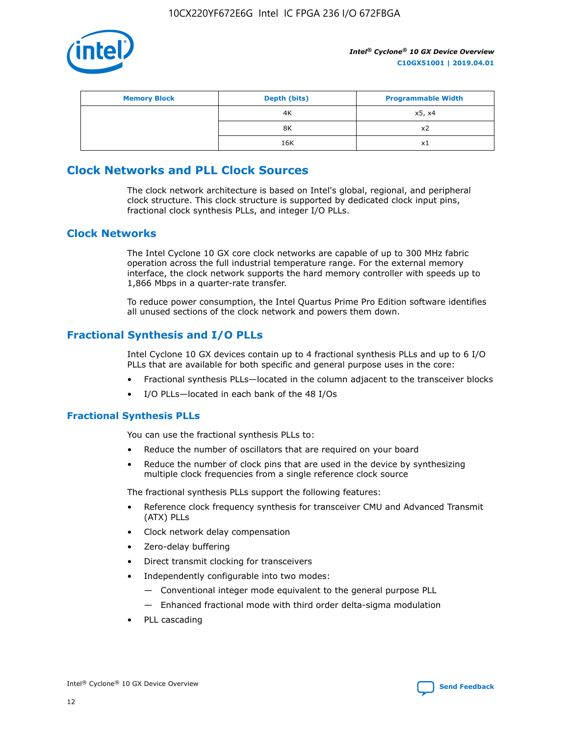

| <b>Memory Block</b> | Depth (bits)<br><b>Programmable Width</b> |        |
|---------------------|-------------------------------------------|--------|
|                     | 4K                                        | x5, x4 |
|                     | 8K                                        | X2     |
|                     | 16K                                       | x1     |

# **Clock Networks and PLL Clock Sources**

The clock network architecture is based on Intel's global, regional, and peripheral clock structure. This clock structure is supported by dedicated clock input pins, fractional clock synthesis PLLs, and integer I/O PLLs.

#### **Clock Networks**

The Intel Cyclone 10 GX core clock networks are capable of up to 300 MHz fabric operation across the full industrial temperature range. For the external memory interface, the clock network supports the hard memory controller with speeds up to 1,866 Mbps in a quarter-rate transfer.

To reduce power consumption, the Intel Quartus Prime Pro Edition software identifies all unused sections of the clock network and powers them down.

## **Fractional Synthesis and I/O PLLs**

Intel Cyclone 10 GX devices contain up to 4 fractional synthesis PLLs and up to 6 I/O PLLs that are available for both specific and general purpose uses in the core:

- Fractional synthesis PLLs—located in the column adjacent to the transceiver blocks
- I/O PLLs—located in each bank of the 48 I/Os

#### **Fractional Synthesis PLLs**

You can use the fractional synthesis PLLs to:

- Reduce the number of oscillators that are required on your board
- Reduce the number of clock pins that are used in the device by synthesizing multiple clock frequencies from a single reference clock source

The fractional synthesis PLLs support the following features:

- Reference clock frequency synthesis for transceiver CMU and Advanced Transmit (ATX) PLLs
- Clock network delay compensation
- Zero-delay buffering
- Direct transmit clocking for transceivers
- Independently configurable into two modes:
	- Conventional integer mode equivalent to the general purpose PLL
	- Enhanced fractional mode with third order delta-sigma modulation
- PLL cascading

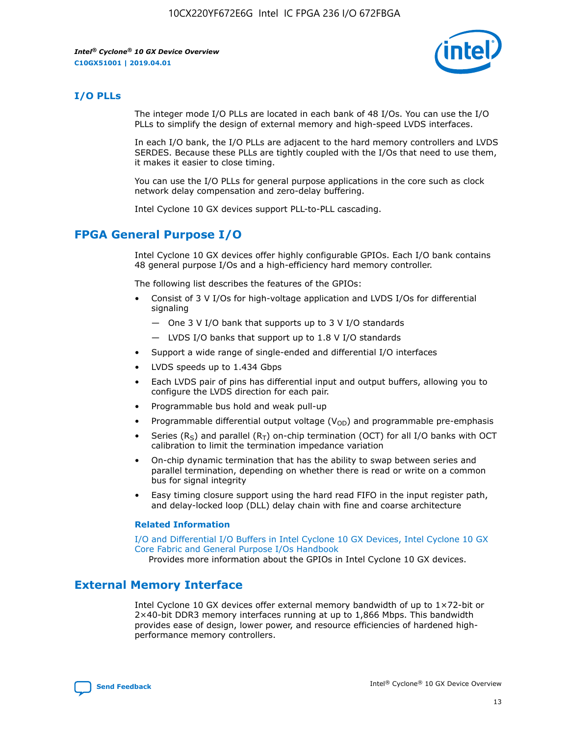

#### **I/O PLLs**

The integer mode I/O PLLs are located in each bank of 48 I/Os. You can use the I/O PLLs to simplify the design of external memory and high-speed LVDS interfaces.

In each I/O bank, the I/O PLLs are adjacent to the hard memory controllers and LVDS SERDES. Because these PLLs are tightly coupled with the I/Os that need to use them, it makes it easier to close timing.

You can use the I/O PLLs for general purpose applications in the core such as clock network delay compensation and zero-delay buffering.

Intel Cyclone 10 GX devices support PLL-to-PLL cascading.

#### **FPGA General Purpose I/O**

Intel Cyclone 10 GX devices offer highly configurable GPIOs. Each I/O bank contains 48 general purpose I/Os and a high-efficiency hard memory controller.

The following list describes the features of the GPIOs:

- Consist of 3 V I/Os for high-voltage application and LVDS I/Os for differential signaling
	- One 3 V I/O bank that supports up to 3 V I/O standards
	- LVDS I/O banks that support up to 1.8 V I/O standards
- Support a wide range of single-ended and differential I/O interfaces
- LVDS speeds up to 1.434 Gbps
- Each LVDS pair of pins has differential input and output buffers, allowing you to configure the LVDS direction for each pair.
- Programmable bus hold and weak pull-up
- Programmable differential output voltage  $(V<sub>OD</sub>)$  and programmable pre-emphasis
- Series (R<sub>S</sub>) and parallel (R<sub>T</sub>) on-chip termination (OCT) for all I/O banks with OCT calibration to limit the termination impedance variation
- On-chip dynamic termination that has the ability to swap between series and parallel termination, depending on whether there is read or write on a common bus for signal integrity
- Easy timing closure support using the hard read FIFO in the input register path, and delay-locked loop (DLL) delay chain with fine and coarse architecture

#### **Related Information**

[I/O and Differential I/O Buffers in Intel Cyclone 10 GX Devices, Intel Cyclone 10 GX](https://www.intel.com/content/www/us/en/programmable/documentation/vua1487061384661.html#sam1403481935742) [Core Fabric and General Purpose I/Os Handbook](https://www.intel.com/content/www/us/en/programmable/documentation/vua1487061384661.html#sam1403481935742)

Provides more information about the GPIOs in Intel Cyclone 10 GX devices.

#### **External Memory Interface**

Intel Cyclone 10 GX devices offer external memory bandwidth of up to 1×72-bit or 2×40-bit DDR3 memory interfaces running at up to 1,866 Mbps. This bandwidth provides ease of design, lower power, and resource efficiencies of hardened highperformance memory controllers.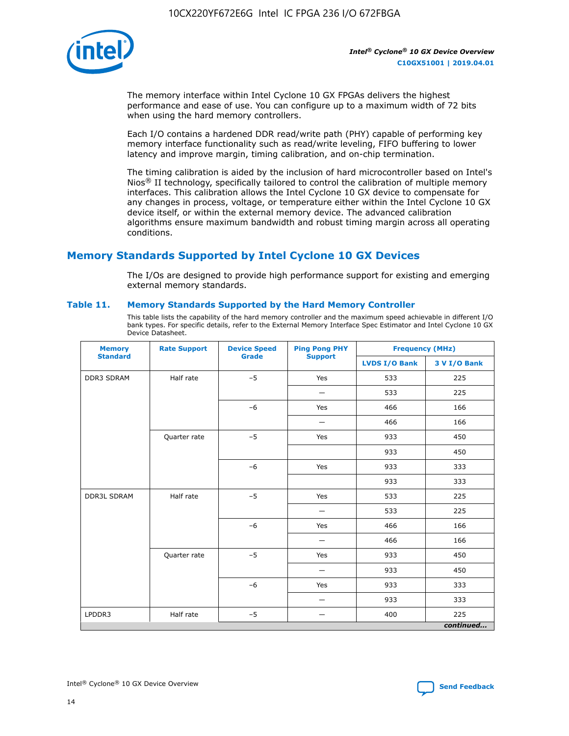

The memory interface within Intel Cyclone 10 GX FPGAs delivers the highest performance and ease of use. You can configure up to a maximum width of 72 bits when using the hard memory controllers.

Each I/O contains a hardened DDR read/write path (PHY) capable of performing key memory interface functionality such as read/write leveling, FIFO buffering to lower latency and improve margin, timing calibration, and on-chip termination.

The timing calibration is aided by the inclusion of hard microcontroller based on Intel's Nios<sup>®</sup> II technology, specifically tailored to control the calibration of multiple memory interfaces. This calibration allows the Intel Cyclone 10 GX device to compensate for any changes in process, voltage, or temperature either within the Intel Cyclone 10 GX device itself, or within the external memory device. The advanced calibration algorithms ensure maximum bandwidth and robust timing margin across all operating conditions.

# **Memory Standards Supported by Intel Cyclone 10 GX Devices**

The I/Os are designed to provide high performance support for existing and emerging external memory standards.

#### **Table 11. Memory Standards Supported by the Hard Memory Controller**

This table lists the capability of the hard memory controller and the maximum speed achievable in different I/O bank types. For specific details, refer to the External Memory Interface Spec Estimator and Intel Cyclone 10 GX Device Datasheet.

| <b>Memory</b><br><b>Standard</b> | <b>Rate Support</b> | <b>Device Speed</b><br><b>Grade</b> | <b>Ping Pong PHY</b>     | <b>Frequency (MHz)</b> |              |  |
|----------------------------------|---------------------|-------------------------------------|--------------------------|------------------------|--------------|--|
|                                  |                     |                                     | <b>Support</b>           | <b>LVDS I/O Bank</b>   | 3 V I/O Bank |  |
| <b>DDR3 SDRAM</b>                | Half rate           | $-5$                                | Yes                      | 533                    | 225          |  |
|                                  |                     |                                     |                          | 533                    | 225          |  |
|                                  |                     | $-6$                                | Yes                      | 466                    | 166          |  |
|                                  |                     |                                     |                          | 466                    | 166          |  |
|                                  | Quarter rate        | $-5$                                | Yes                      | 933                    | 450          |  |
|                                  |                     |                                     |                          | 933                    | 450          |  |
|                                  |                     | $-6$                                | Yes                      | 933                    | 333          |  |
|                                  |                     |                                     |                          | 933                    | 333          |  |
| <b>DDR3L SDRAM</b><br>Half rate  |                     | $-5$                                | Yes                      | 533                    | 225          |  |
|                                  |                     |                                     | -                        | 533                    | 225          |  |
|                                  |                     | $-6$                                | Yes                      | 466                    | 166          |  |
|                                  |                     |                                     | $\overline{\phantom{0}}$ | 466                    | 166          |  |
|                                  | Quarter rate        | $-5$                                | Yes                      | 933                    | 450          |  |
|                                  |                     |                                     | -                        | 933                    | 450          |  |
|                                  |                     | $-6$                                | Yes                      | 933                    | 333          |  |
|                                  |                     |                                     |                          | 933                    | 333          |  |
| LPDDR3                           | Half rate           | $-5$                                |                          | 400                    | 225          |  |
|                                  |                     |                                     |                          |                        | continued    |  |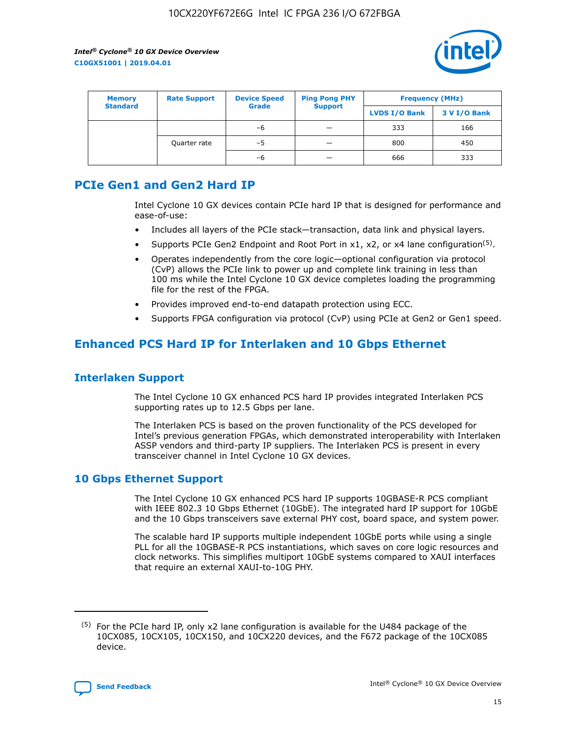

| <b>Memory</b><br><b>Standard</b> | <b>Device Speed</b><br><b>Rate Support</b><br><b>Grade</b> |    | <b>Ping Pong PHY</b> | <b>Frequency (MHz)</b> |              |  |
|----------------------------------|------------------------------------------------------------|----|----------------------|------------------------|--------------|--|
|                                  |                                                            |    | <b>Support</b>       | <b>LVDS I/O Bank</b>   | 3 V I/O Bank |  |
|                                  |                                                            | -6 |                      | 333                    | 166          |  |
|                                  | Quarter rate                                               | -5 |                      | 800                    | 450          |  |
|                                  |                                                            | -6 | -                    | 666                    | 333          |  |

# **PCIe Gen1 and Gen2 Hard IP**

Intel Cyclone 10 GX devices contain PCIe hard IP that is designed for performance and ease-of-use:

- Includes all layers of the PCIe stack-transaction, data link and physical layers.
- Supports PCIe Gen2 Endpoint and Root Port in  $x1$ ,  $x2$ , or  $x4$  lane configuration<sup>(5)</sup>.
- Operates independently from the core logic—optional configuration via protocol (CvP) allows the PCIe link to power up and complete link training in less than 100 ms while the Intel Cyclone 10 GX device completes loading the programming file for the rest of the FPGA.
- Provides improved end-to-end datapath protection using ECC.
- Supports FPGA configuration via protocol (CvP) using PCIe at Gen2 or Gen1 speed.

# **Enhanced PCS Hard IP for Interlaken and 10 Gbps Ethernet**

#### **Interlaken Support**

The Intel Cyclone 10 GX enhanced PCS hard IP provides integrated Interlaken PCS supporting rates up to 12.5 Gbps per lane.

The Interlaken PCS is based on the proven functionality of the PCS developed for Intel's previous generation FPGAs, which demonstrated interoperability with Interlaken ASSP vendors and third-party IP suppliers. The Interlaken PCS is present in every transceiver channel in Intel Cyclone 10 GX devices.

## **10 Gbps Ethernet Support**

The Intel Cyclone 10 GX enhanced PCS hard IP supports 10GBASE-R PCS compliant with IEEE 802.3 10 Gbps Ethernet (10GbE). The integrated hard IP support for 10GbE and the 10 Gbps transceivers save external PHY cost, board space, and system power.

The scalable hard IP supports multiple independent 10GbE ports while using a single PLL for all the 10GBASE-R PCS instantiations, which saves on core logic resources and clock networks. This simplifies multiport 10GbE systems compared to XAUI interfaces that require an external XAUI-to-10G PHY.

 $(5)$  For the PCIe hard IP, only x2 lane configuration is available for the U484 package of the 10CX085, 10CX105, 10CX150, and 10CX220 devices, and the F672 package of the 10CX085 device.

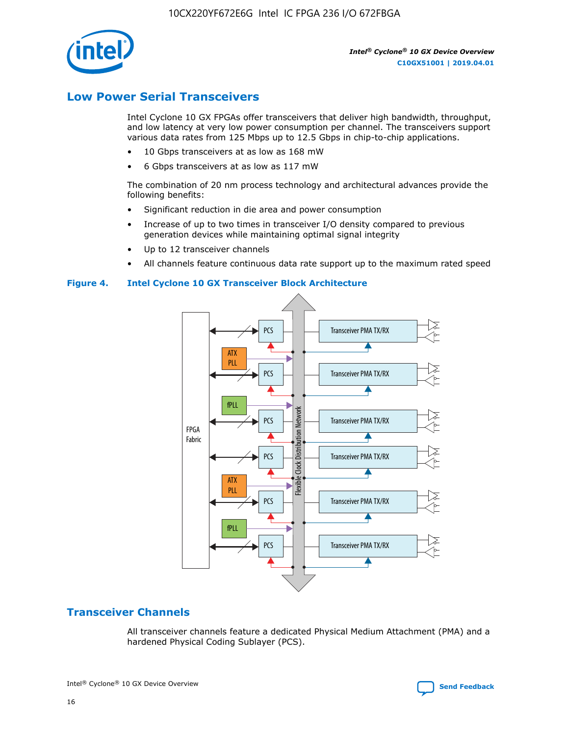10CX220YF672E6G Intel IC FPGA 236 I/O 672FBGA



*Intel® Cyclone® 10 GX Device Overview* **C10GX51001 | 2019.04.01**

# **Low Power Serial Transceivers**

Intel Cyclone 10 GX FPGAs offer transceivers that deliver high bandwidth, throughput, and low latency at very low power consumption per channel. The transceivers support various data rates from 125 Mbps up to 12.5 Gbps in chip-to-chip applications.

- 10 Gbps transceivers at as low as 168 mW
- 6 Gbps transceivers at as low as 117 mW

The combination of 20 nm process technology and architectural advances provide the following benefits:

- Significant reduction in die area and power consumption
- Increase of up to two times in transceiver I/O density compared to previous generation devices while maintaining optimal signal integrity
- Up to 12 transceiver channels
- All channels feature continuous data rate support up to the maximum rated speed

#### **Figure 4. Intel Cyclone 10 GX Transceiver Block Architecture**



## **Transceiver Channels**

All transceiver channels feature a dedicated Physical Medium Attachment (PMA) and a hardened Physical Coding Sublayer (PCS).



Intel<sup>®</sup> Cyclone<sup>®</sup> 10 GX Device Overview **[Send Feedback](mailto:FPGAtechdocfeedback@intel.com?subject=Feedback%20on%20Intel%20Cyclone%2010%20GX%20Device%20Overview%20(C10GX51001%202019.04.01)&body=We%20appreciate%20your%20feedback.%20In%20your%20comments,%20also%20specify%20the%20page%20number%20or%20paragraph.%20Thank%20you.)** Send Feedback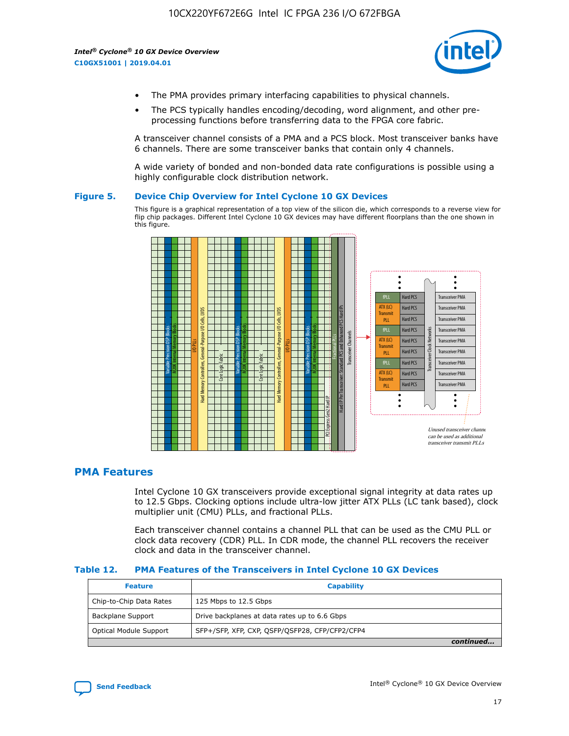

- The PMA provides primary interfacing capabilities to physical channels.
- The PCS typically handles encoding/decoding, word alignment, and other preprocessing functions before transferring data to the FPGA core fabric.

A transceiver channel consists of a PMA and a PCS block. Most transceiver banks have 6 channels. There are some transceiver banks that contain only 4 channels.

A wide variety of bonded and non-bonded data rate configurations is possible using a highly configurable clock distribution network.

#### **Figure 5. Device Chip Overview for Intel Cyclone 10 GX Devices**

This figure is a graphical representation of a top view of the silicon die, which corresponds to a reverse view for flip chip packages. Different Intel Cyclone 10 GX devices may have different floorplans than the one shown in this figure.



## **PMA Features**

Intel Cyclone 10 GX transceivers provide exceptional signal integrity at data rates up to 12.5 Gbps. Clocking options include ultra-low jitter ATX PLLs (LC tank based), clock multiplier unit (CMU) PLLs, and fractional PLLs.

Each transceiver channel contains a channel PLL that can be used as the CMU PLL or clock data recovery (CDR) PLL. In CDR mode, the channel PLL recovers the receiver clock and data in the transceiver channel.

#### **Table 12. PMA Features of the Transceivers in Intel Cyclone 10 GX Devices**

| <b>Feature</b>          | <b>Capability</b>                              |
|-------------------------|------------------------------------------------|
| Chip-to-Chip Data Rates | 125 Mbps to 12.5 Gbps                          |
| Backplane Support       | Drive backplanes at data rates up to 6.6 Gbps  |
| Optical Module Support  | SFP+/SFP, XFP, CXP, QSFP/QSFP28, CFP/CFP2/CFP4 |
|                         | continued                                      |

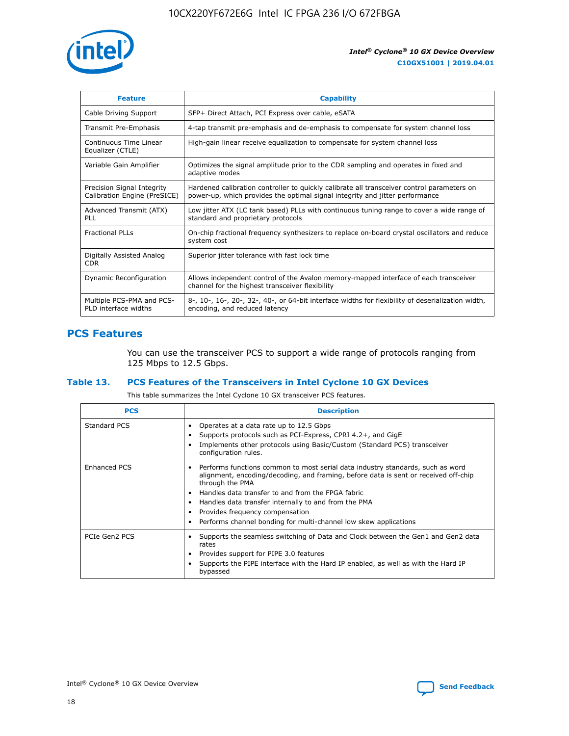

| <b>Feature</b>                                             | <b>Capability</b>                                                                                                                                                          |
|------------------------------------------------------------|----------------------------------------------------------------------------------------------------------------------------------------------------------------------------|
| Cable Driving Support                                      | SFP+ Direct Attach, PCI Express over cable, eSATA                                                                                                                          |
| Transmit Pre-Emphasis                                      | 4-tap transmit pre-emphasis and de-emphasis to compensate for system channel loss                                                                                          |
| Continuous Time Linear<br>Equalizer (CTLE)                 | High-gain linear receive equalization to compensate for system channel loss                                                                                                |
| Variable Gain Amplifier                                    | Optimizes the signal amplitude prior to the CDR sampling and operates in fixed and<br>adaptive modes                                                                       |
| Precision Signal Integrity<br>Calibration Engine (PreSICE) | Hardened calibration controller to quickly calibrate all transceiver control parameters on<br>power-up, which provides the optimal signal integrity and jitter performance |
| Advanced Transmit (ATX)<br>PLL                             | Low jitter ATX (LC tank based) PLLs with continuous tuning range to cover a wide range of<br>standard and proprietary protocols                                            |
| <b>Fractional PLLs</b>                                     | On-chip fractional frequency synthesizers to replace on-board crystal oscillators and reduce<br>system cost                                                                |
| Digitally Assisted Analog<br><b>CDR</b>                    | Superior jitter tolerance with fast lock time                                                                                                                              |
| Dynamic Reconfiguration                                    | Allows independent control of the Avalon memory-mapped interface of each transceiver<br>channel for the highest transceiver flexibility                                    |
| Multiple PCS-PMA and PCS-<br>PLD interface widths          | 8-, 10-, 16-, 20-, 32-, 40-, or 64-bit interface widths for flexibility of deserialization width,<br>encoding, and reduced latency                                         |

#### **PCS Features**

You can use the transceiver PCS to support a wide range of protocols ranging from 125 Mbps to 12.5 Gbps.

#### **Table 13. PCS Features of the Transceivers in Intel Cyclone 10 GX Devices**

This table summarizes the Intel Cyclone 10 GX transceiver PCS features.

| <b>PCS</b>          | <b>Description</b>                                                                                                                                                                                                                                                                                                                                                                                                 |
|---------------------|--------------------------------------------------------------------------------------------------------------------------------------------------------------------------------------------------------------------------------------------------------------------------------------------------------------------------------------------------------------------------------------------------------------------|
| Standard PCS        | Operates at a data rate up to 12.5 Gbps<br>Supports protocols such as PCI-Express, CPRI 4.2+, and GigE<br>Implements other protocols using Basic/Custom (Standard PCS) transceiver<br>configuration rules.                                                                                                                                                                                                         |
| <b>Enhanced PCS</b> | • Performs functions common to most serial data industry standards, such as word<br>alignment, encoding/decoding, and framing, before data is sent or received off-chip<br>through the PMA<br>• Handles data transfer to and from the FPGA fabric<br>• Handles data transfer internally to and from the PMA<br>Provides frequency compensation<br>Performs channel bonding for multi-channel low skew applications |
| PCIe Gen2 PCS       | Supports the seamless switching of Data and Clock between the Gen1 and Gen2 data<br>rates<br>Provides support for PIPE 3.0 features<br>Supports the PIPE interface with the Hard IP enabled, as well as with the Hard IP<br>bypassed                                                                                                                                                                               |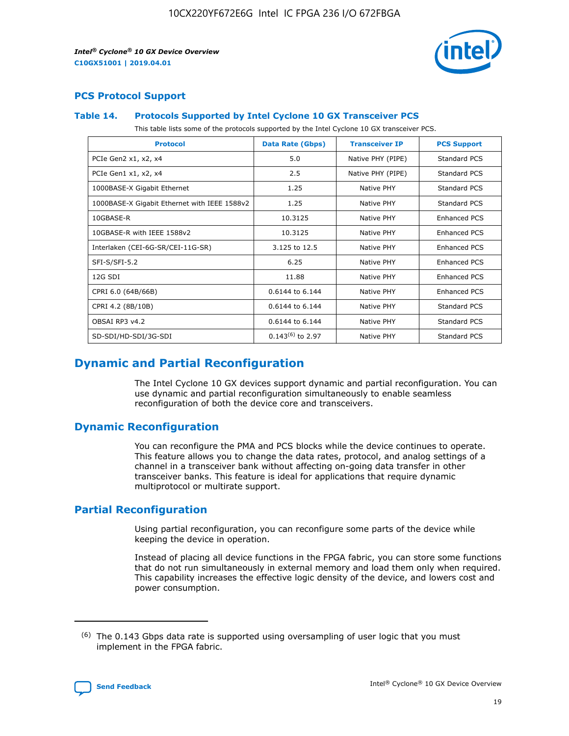

#### **PCS Protocol Support**

#### **Table 14. Protocols Supported by Intel Cyclone 10 GX Transceiver PCS**

This table lists some of the protocols supported by the Intel Cyclone 10 GX transceiver PCS.

| <b>Protocol</b>                              | <b>Data Rate (Gbps)</b> | <b>Transceiver IP</b> | <b>PCS Support</b>  |
|----------------------------------------------|-------------------------|-----------------------|---------------------|
| PCIe Gen2 x1, x2, x4                         | 5.0                     | Native PHY (PIPE)     | Standard PCS        |
| PCIe Gen1 x1, x2, x4                         | 2.5                     | Native PHY (PIPE)     | <b>Standard PCS</b> |
| 1000BASE-X Gigabit Ethernet                  | 1.25                    | Native PHY            | Standard PCS        |
| 1000BASE-X Gigabit Ethernet with IEEE 1588v2 | 1.25                    | Native PHY            | Standard PCS        |
| 10GBASE-R                                    | 10.3125                 | Native PHY            | Enhanced PCS        |
| 10GBASE-R with IEEE 1588v2                   | 10.3125                 | Native PHY            | Enhanced PCS        |
| Interlaken (CEI-6G-SR/CEI-11G-SR)            | 3.125 to 12.5           | Native PHY            | Enhanced PCS        |
| SFI-S/SFI-5.2                                | 6.25                    | Native PHY            | Enhanced PCS        |
| 12G SDI                                      | 11.88                   | Native PHY            | Enhanced PCS        |
| CPRI 6.0 (64B/66B)                           | 0.6144 to 6.144         | Native PHY            | <b>Enhanced PCS</b> |
| CPRI 4.2 (8B/10B)                            | 0.6144 to 6.144         | Native PHY            | Standard PCS        |
| OBSAI RP3 v4.2                               | $0.6144$ to 6.144       | Native PHY            | <b>Standard PCS</b> |
| SD-SDI/HD-SDI/3G-SDI                         | $0.143^{(6)}$ to 2.97   | Native PHY            | Standard PCS        |

# **Dynamic and Partial Reconfiguration**

The Intel Cyclone 10 GX devices support dynamic and partial reconfiguration. You can use dynamic and partial reconfiguration simultaneously to enable seamless reconfiguration of both the device core and transceivers.

## **Dynamic Reconfiguration**

You can reconfigure the PMA and PCS blocks while the device continues to operate. This feature allows you to change the data rates, protocol, and analog settings of a channel in a transceiver bank without affecting on-going data transfer in other transceiver banks. This feature is ideal for applications that require dynamic multiprotocol or multirate support.

#### **Partial Reconfiguration**

Using partial reconfiguration, you can reconfigure some parts of the device while keeping the device in operation.

Instead of placing all device functions in the FPGA fabric, you can store some functions that do not run simultaneously in external memory and load them only when required. This capability increases the effective logic density of the device, and lowers cost and power consumption.

 $(6)$  The 0.143 Gbps data rate is supported using oversampling of user logic that you must implement in the FPGA fabric.

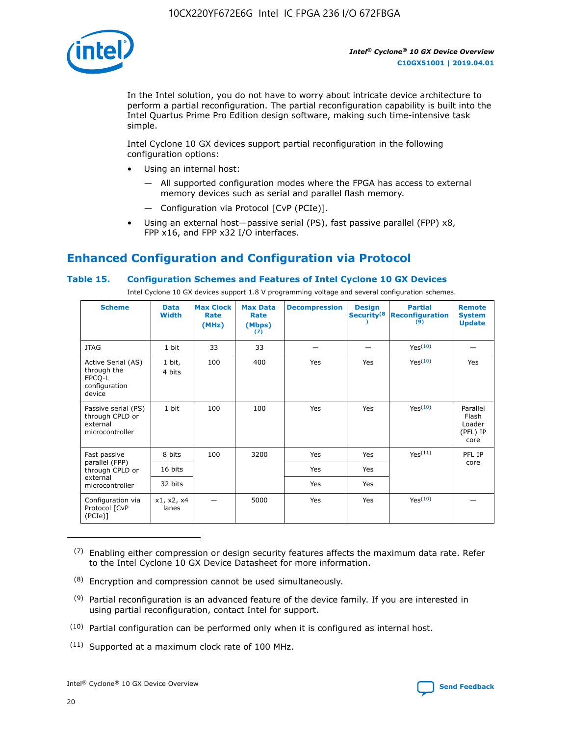

In the Intel solution, you do not have to worry about intricate device architecture to perform a partial reconfiguration. The partial reconfiguration capability is built into the Intel Quartus Prime Pro Edition design software, making such time-intensive task simple.

Intel Cyclone 10 GX devices support partial reconfiguration in the following configuration options:

- Using an internal host:
	- All supported configuration modes where the FPGA has access to external memory devices such as serial and parallel flash memory.
	- Configuration via Protocol [CvP (PCIe)].
- Using an external host—passive serial (PS), fast passive parallel (FPP) x8, FPP x16, and FPP x32 I/O interfaces.

# **Enhanced Configuration and Configuration via Protocol**

#### **Table 15. Configuration Schemes and Features of Intel Cyclone 10 GX Devices**

Intel Cyclone 10 GX devices support 1.8 V programming voltage and several configuration schemes.

| <b>Scheme</b>                                                          | <b>Data</b><br><b>Width</b> | <b>Max Clock</b><br>Rate<br>(MHz) | <b>Max Data</b><br>Rate<br>(Mbps)<br>(7) | <b>Decompression</b> | <b>Design</b><br>Security <sup>(8</sup> | <b>Partial</b><br><b>Reconfiguration</b><br>(9) | <b>Remote</b><br><b>System</b><br><b>Update</b> |
|------------------------------------------------------------------------|-----------------------------|-----------------------------------|------------------------------------------|----------------------|-----------------------------------------|-------------------------------------------------|-------------------------------------------------|
| <b>JTAG</b>                                                            | 1 bit                       | 33                                | 33                                       |                      |                                         | Yes <sup>(10)</sup>                             |                                                 |
| Active Serial (AS)<br>through the<br>EPCQ-L<br>configuration<br>device | 1 bit,<br>4 bits            | 100                               | 400                                      | Yes                  | Yes                                     | Yes <sup>(10)</sup>                             | Yes                                             |
| Passive serial (PS)<br>through CPLD or<br>external<br>microcontroller  | 1 bit                       | 100                               | 100                                      | Yes                  | Yes                                     | Yes <sup>(10)</sup>                             | Parallel<br>Flash<br>Loader<br>(PFL) IP<br>core |
| Fast passive                                                           | 8 bits                      | 100                               | 3200                                     | Yes                  | Yes                                     | Yes(11)                                         | PFL IP                                          |
| parallel (FPP)<br>through CPLD or                                      | 16 bits                     |                                   |                                          | Yes                  | Yes                                     |                                                 | core                                            |
| external<br>microcontroller                                            | 32 bits                     |                                   |                                          | Yes                  | Yes                                     |                                                 |                                                 |
| Configuration via<br>Protocol [CvP<br>(PCIe)                           | x1, x2, x4<br>lanes         |                                   | 5000                                     | Yes                  | Yes                                     | Yes <sup>(10)</sup>                             |                                                 |

 $(7)$  Enabling either compression or design security features affects the maximum data rate. Refer to the Intel Cyclone 10 GX Device Datasheet for more information.

(11) Supported at a maximum clock rate of 100 MHz.

 $(8)$  Encryption and compression cannot be used simultaneously.

 $(9)$  Partial reconfiguration is an advanced feature of the device family. If you are interested in using partial reconfiguration, contact Intel for support.

 $(10)$  Partial configuration can be performed only when it is configured as internal host.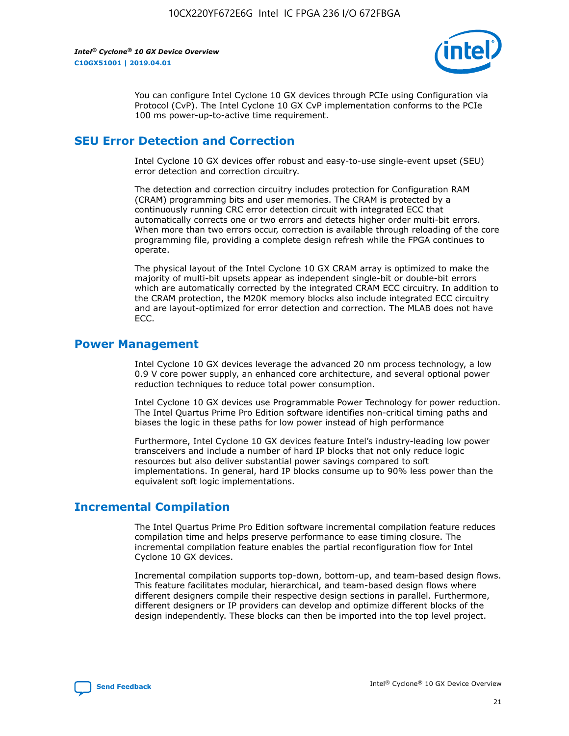

You can configure Intel Cyclone 10 GX devices through PCIe using Configuration via Protocol (CvP). The Intel Cyclone 10 GX CvP implementation conforms to the PCIe 100 ms power-up-to-active time requirement.

## **SEU Error Detection and Correction**

Intel Cyclone 10 GX devices offer robust and easy-to-use single-event upset (SEU) error detection and correction circuitry.

The detection and correction circuitry includes protection for Configuration RAM (CRAM) programming bits and user memories. The CRAM is protected by a continuously running CRC error detection circuit with integrated ECC that automatically corrects one or two errors and detects higher order multi-bit errors. When more than two errors occur, correction is available through reloading of the core programming file, providing a complete design refresh while the FPGA continues to operate.

The physical layout of the Intel Cyclone 10 GX CRAM array is optimized to make the majority of multi-bit upsets appear as independent single-bit or double-bit errors which are automatically corrected by the integrated CRAM ECC circuitry. In addition to the CRAM protection, the M20K memory blocks also include integrated ECC circuitry and are layout-optimized for error detection and correction. The MLAB does not have ECC.

#### **Power Management**

Intel Cyclone 10 GX devices leverage the advanced 20 nm process technology, a low 0.9 V core power supply, an enhanced core architecture, and several optional power reduction techniques to reduce total power consumption.

Intel Cyclone 10 GX devices use Programmable Power Technology for power reduction. The Intel Quartus Prime Pro Edition software identifies non-critical timing paths and biases the logic in these paths for low power instead of high performance

Furthermore, Intel Cyclone 10 GX devices feature Intel's industry-leading low power transceivers and include a number of hard IP blocks that not only reduce logic resources but also deliver substantial power savings compared to soft implementations. In general, hard IP blocks consume up to 90% less power than the equivalent soft logic implementations.

## **Incremental Compilation**

The Intel Quartus Prime Pro Edition software incremental compilation feature reduces compilation time and helps preserve performance to ease timing closure. The incremental compilation feature enables the partial reconfiguration flow for Intel Cyclone 10 GX devices.

Incremental compilation supports top-down, bottom-up, and team-based design flows. This feature facilitates modular, hierarchical, and team-based design flows where different designers compile their respective design sections in parallel. Furthermore, different designers or IP providers can develop and optimize different blocks of the design independently. These blocks can then be imported into the top level project.

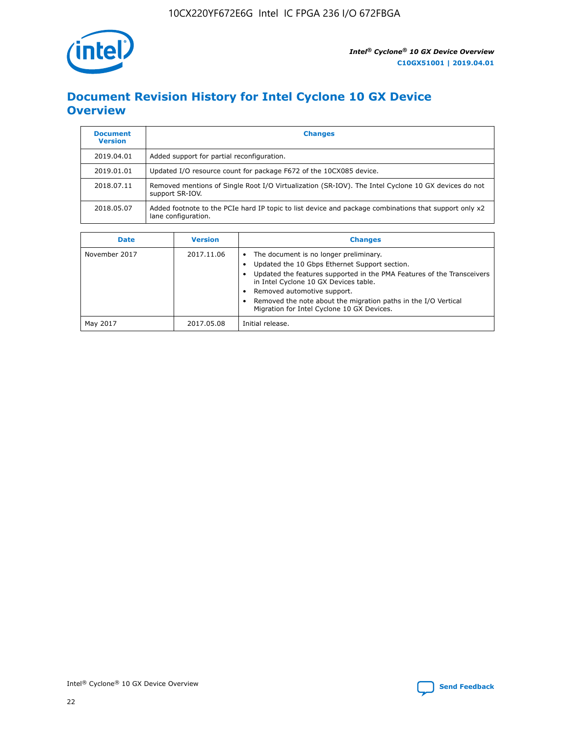

# **Document Revision History for Intel Cyclone 10 GX Device Overview**

| <b>Document</b><br><b>Version</b> | <b>Changes</b>                                                                                                               |
|-----------------------------------|------------------------------------------------------------------------------------------------------------------------------|
| 2019.04.01                        | Added support for partial reconfiguration.                                                                                   |
| 2019.01.01                        | Updated I/O resource count for package F672 of the 10CX085 device.                                                           |
| 2018.07.11                        | Removed mentions of Single Root I/O Virtualization (SR-IOV). The Intel Cyclone 10 GX devices do not<br>support SR-IOV.       |
| 2018.05.07                        | Added footnote to the PCIe hard IP topic to list device and package combinations that support only x2<br>lane configuration. |

| <b>Date</b>   | <b>Version</b> | <b>Changes</b>                                                                                                                                                                                                                                                                                                                                            |
|---------------|----------------|-----------------------------------------------------------------------------------------------------------------------------------------------------------------------------------------------------------------------------------------------------------------------------------------------------------------------------------------------------------|
| November 2017 | 2017.11.06     | The document is no longer preliminary.<br>Updated the 10 Gbps Ethernet Support section.<br>Updated the features supported in the PMA Features of the Transceivers<br>in Intel Cyclone 10 GX Devices table.<br>Removed automotive support.<br>Removed the note about the migration paths in the I/O Vertical<br>Migration for Intel Cyclone 10 GX Devices. |
| May 2017      | 2017.05.08     | Initial release.                                                                                                                                                                                                                                                                                                                                          |